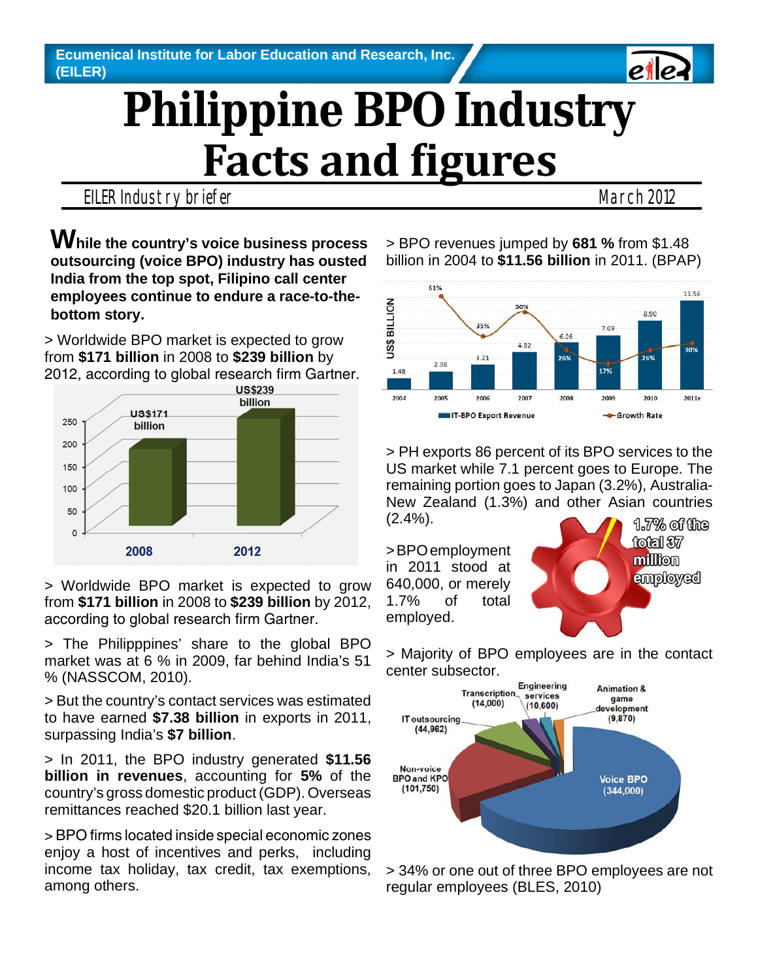# **Philippine BPO Industry Facts and figures**

#### EILER Industry briefer **March 2012** March 2012

eile

**While the country's voice business process outsourcing (voice BPO) industry has ousted India from the top spot, Filipino call center employees continue to endure a race-to-thebottom story.**

> Worldwide BPO market is expected to grow from **\$171 billion** in 2008 to **\$239 billion** by 2012, according to global research firm Gartner.



> Worldwide BPO market is expected to grow from **\$171 billion** in 2008 to **\$239 billion** by 2012, according to global research firm Gartner.

> The Philipppines' share to the global BPO market was at 6 % in 2009, far behind India's 51 % (NASSCOM, 2010).

> But the country's contact services was estimated to have earned **\$7.38 billion** in exports in 2011, surpassing India's **\$7 billion**.

> In 2011, the BPO industry generated **\$11.56 billion in revenues**, accounting for **5%** of the country's gross domestic product (GDP). Overseas remittances reached \$20.1 billion last year.

 $>$  BPO firms located inside special economic zones enjoy a host of incentives and perks, including income tax holiday, tax credit, tax exemptions, among others.

> BPO revenues jumped by **681 %** from \$1.48 billion in 2004 to **\$11.56 billion** in 2011. (BPAP)



> PH exports 86 percent of its BPO services to the US market while 7.1 percent goes to Europe. The remaining portion goes to Japan (3.2%), Australia-New Zealand (1.3%) and other Asian countries (2.4%).

> BPO employment in 2011 stood at 640,000, or merely 1.7% of total employed.



> Majority of BPO employees are in the contact center subsector.



> 34% or one out of three BPO employees are not regular employees (BLES, 2010)